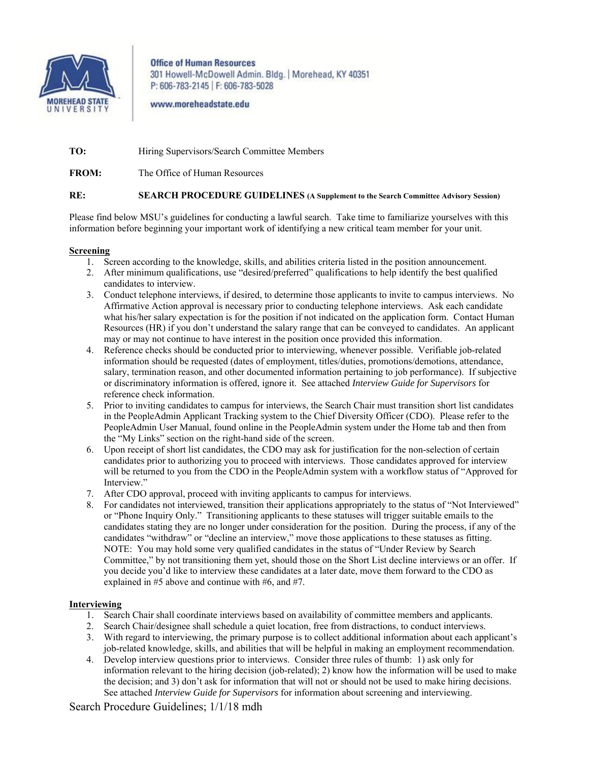

**Office of Human Resources** 301 Howell-McDowell Admin. Bldg. | Morehead, KY 40351 P: 606-783-2145 | F: 606-783-5028

www.moreheadstate.edu

**TO:** Hiring Supervisors/Search Committee Members

**FROM:** The Office of Human Resources

## **RE: SEARCH PROCEDURE GUIDELINES (A Supplement to the Search Committee Advisory Session)**

Please find below MSU's guidelines for conducting a lawful search. Take time to familiarize yourselves with this information before beginning your important work of identifying a new critical team member for your unit.

## **Screening**

- 1. Screen according to the knowledge, skills, and abilities criteria listed in the position announcement.
- 2. After minimum qualifications, use "desired/preferred" qualifications to help identify the best qualified candidates to interview.
- 3. Conduct telephone interviews, if desired, to determine those applicants to invite to campus interviews. No Affirmative Action approval is necessary prior to conducting telephone interviews. Ask each candidate what his/her salary expectation is for the position if not indicated on the application form. Contact Human Resources (HR) if you don't understand the salary range that can be conveyed to candidates. An applicant may or may not continue to have interest in the position once provided this information.
- 4. Reference checks should be conducted prior to interviewing, whenever possible. Verifiable job-related information should be requested (dates of employment, titles/duties, promotions/demotions, attendance, salary, termination reason, and other documented information pertaining to job performance). If subjective or discriminatory information is offered, ignore it. See attached *Interview Guide for Supervisors* for reference check information.
- 5. Prior to inviting candidates to campus for interviews, the Search Chair must transition short list candidates in the PeopleAdmin Applicant Tracking system to the Chief Diversity Officer (CDO). Please refer to the PeopleAdmin User Manual, found online in the PeopleAdmin system under the Home tab and then from the "My Links" section on the right-hand side of the screen.
- 6. Upon receipt of short list candidates, the CDO may ask for justification for the non-selection of certain candidates prior to authorizing you to proceed with interviews. Those candidates approved for interview will be returned to you from the CDO in the PeopleAdmin system with a workflow status of "Approved for Interview."
- 7. After CDO approval, proceed with inviting applicants to campus for interviews.
- 8. For candidates not interviewed, transition their applications appropriately to the status of "Not Interviewed" or "Phone Inquiry Only." Transitioning applicants to these statuses will trigger suitable emails to the candidates stating they are no longer under consideration for the position. During the process, if any of the candidates "withdraw" or "decline an interview," move those applications to these statuses as fitting. NOTE: You may hold some very qualified candidates in the status of "Under Review by Search Committee," by not transitioning them yet, should those on the Short List decline interviews or an offer. If you decide you'd like to interview these candidates at a later date, move them forward to the CDO as explained in #5 above and continue with #6, and #7.

## **Interviewing**

- 1. Search Chair shall coordinate interviews based on availability of committee members and applicants.
- 2. Search Chair/designee shall schedule a quiet location, free from distractions, to conduct interviews.
- 3. With regard to interviewing, the primary purpose is to collect additional information about each applicant's job-related knowledge, skills, and abilities that will be helpful in making an employment recommendation.
- 4. Develop interview questions prior to interviews. Consider three rules of thumb: 1) ask only for information relevant to the hiring decision (job-related); 2) know how the information will be used to make the decision; and 3) don't ask for information that will not or should not be used to make hiring decisions. See attached *Interview Guide for Supervisors* for information about screening and interviewing.

Search Procedure Guidelines; 1/1/18 mdh